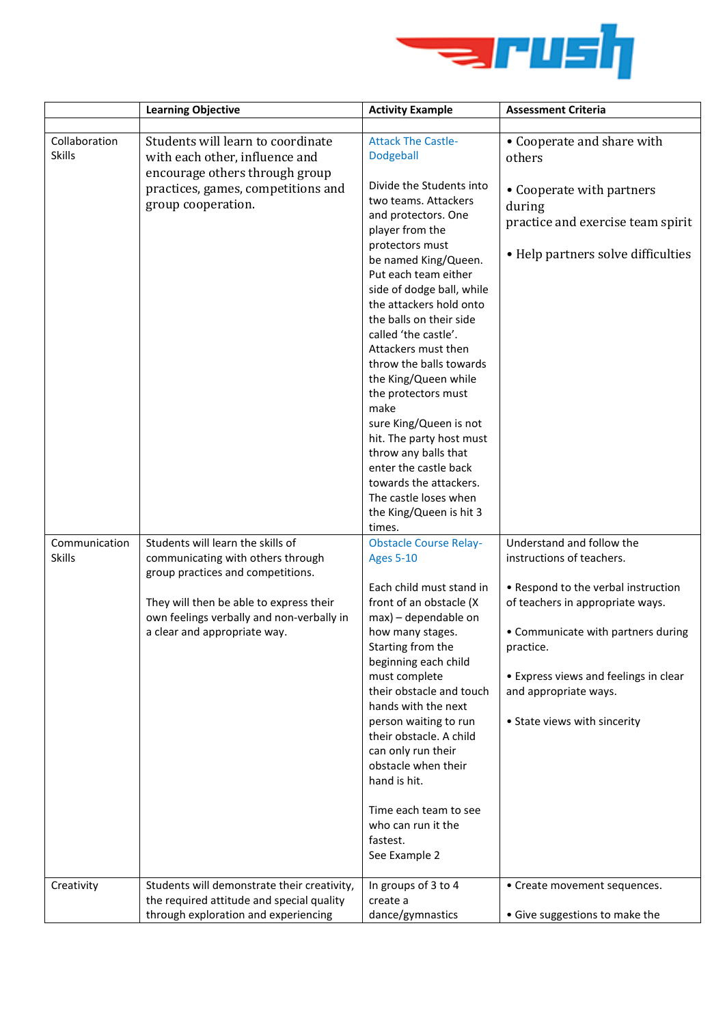

|                                | <b>Learning Objective</b>                                                                                                                                                                                                           | <b>Activity Example</b>                                                                                                                                                                                                                                                                                                                                                                                                                                                                                                                                                               | <b>Assessment Criteria</b>                                                                                                                                                                                                                                                             |
|--------------------------------|-------------------------------------------------------------------------------------------------------------------------------------------------------------------------------------------------------------------------------------|---------------------------------------------------------------------------------------------------------------------------------------------------------------------------------------------------------------------------------------------------------------------------------------------------------------------------------------------------------------------------------------------------------------------------------------------------------------------------------------------------------------------------------------------------------------------------------------|----------------------------------------------------------------------------------------------------------------------------------------------------------------------------------------------------------------------------------------------------------------------------------------|
| Collaboration<br><b>Skills</b> | Students will learn to coordinate<br>with each other, influence and<br>encourage others through group<br>practices, games, competitions and<br>group cooperation.                                                                   | <b>Attack The Castle-</b><br>Dodgeball<br>Divide the Students into<br>two teams. Attackers<br>and protectors. One<br>player from the<br>protectors must<br>be named King/Queen.<br>Put each team either<br>side of dodge ball, while<br>the attackers hold onto<br>the balls on their side<br>called 'the castle'.<br>Attackers must then<br>throw the balls towards<br>the King/Queen while<br>the protectors must<br>make<br>sure King/Queen is not<br>hit. The party host must<br>throw any balls that<br>enter the castle back<br>towards the attackers.<br>The castle loses when | • Cooperate and share with<br>others<br>• Cooperate with partners<br>during<br>practice and exercise team spirit<br>• Help partners solve difficulties                                                                                                                                 |
| Communication<br><b>Skills</b> | Students will learn the skills of<br>communicating with others through<br>group practices and competitions.<br>They will then be able to express their<br>own feelings verbally and non-verbally in<br>a clear and appropriate way. | the King/Queen is hit 3<br>times.<br><b>Obstacle Course Relay-</b><br><b>Ages 5-10</b><br>Each child must stand in<br>front of an obstacle (X<br>max) - dependable on<br>how many stages.<br>Starting from the<br>beginning each child<br>must complete<br>their obstacle and touch<br>hands with the next<br>person waiting to run<br>their obstacle. A child<br>can only run their<br>obstacle when their<br>hand is hit.<br>Time each team to see<br>who can run it the<br>fastest.<br>See Example 2                                                                               | Understand and follow the<br>instructions of teachers.<br>• Respond to the verbal instruction<br>of teachers in appropriate ways.<br>• Communicate with partners during<br>practice.<br>• Express views and feelings in clear<br>and appropriate ways.<br>• State views with sincerity |
| Creativity                     | Students will demonstrate their creativity,<br>the required attitude and special quality<br>through exploration and experiencing                                                                                                    | In groups of 3 to 4<br>create a<br>dance/gymnastics                                                                                                                                                                                                                                                                                                                                                                                                                                                                                                                                   | • Create movement sequences.<br>· Give suggestions to make the                                                                                                                                                                                                                         |